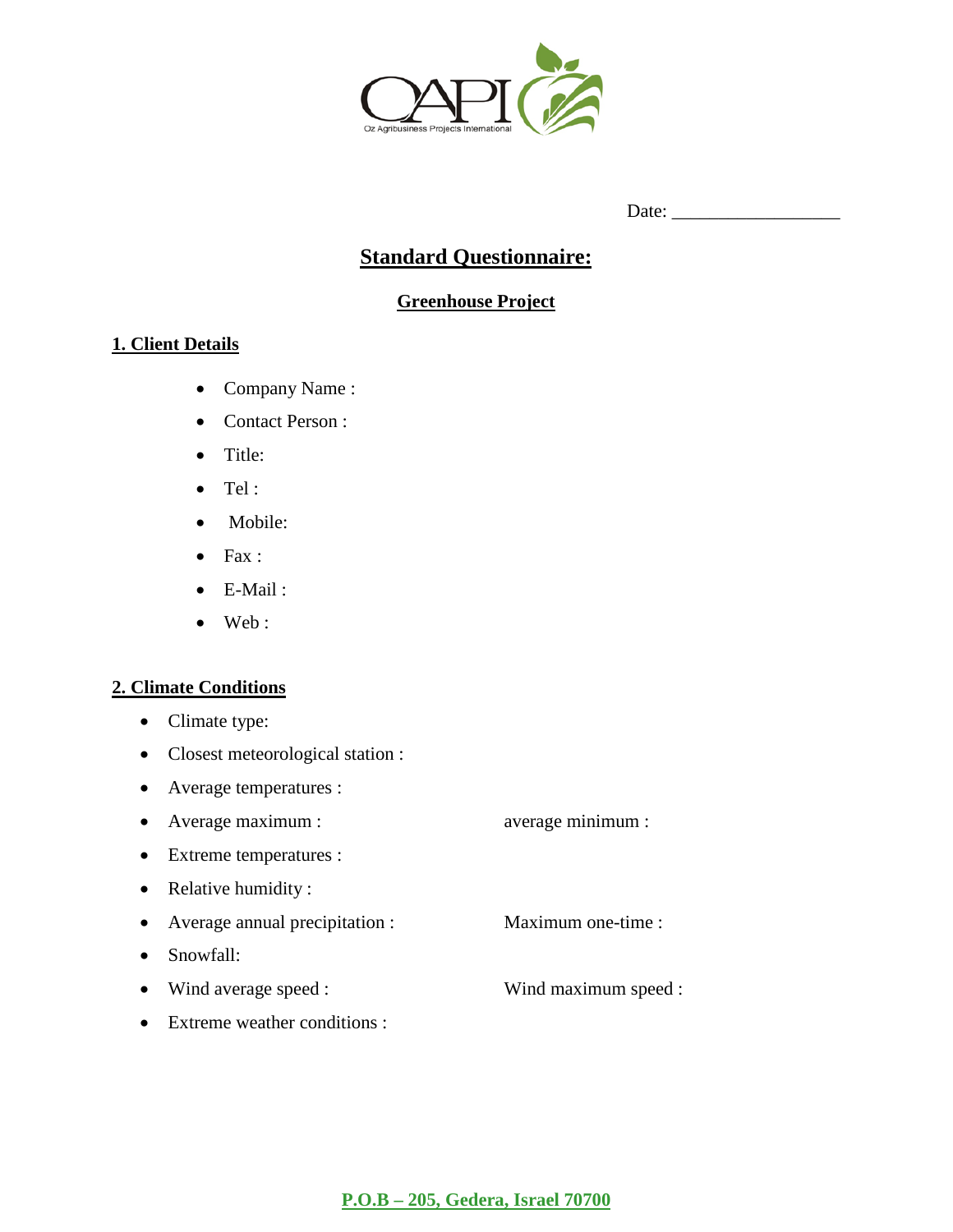

# **Standard Questionnaire:**

## **Greenhouse Project**

## **1. Client Details**

- Company Name :
- Contact Person :
- Title:
- Tel :
- Mobile:
- Fax :
- E-Mail :
- Web :

## **2. Climate Conditions**

- Climate type:
- Closest meteorological station :
- Average temperatures :
- Average maximum : average minimum :
- Extreme temperatures :
- Relative humidity :
- Average annual precipitation : Maximum one-time :
- Snowfall:
- Wind average speed : Wind maximum speed :
- Extreme weather conditions :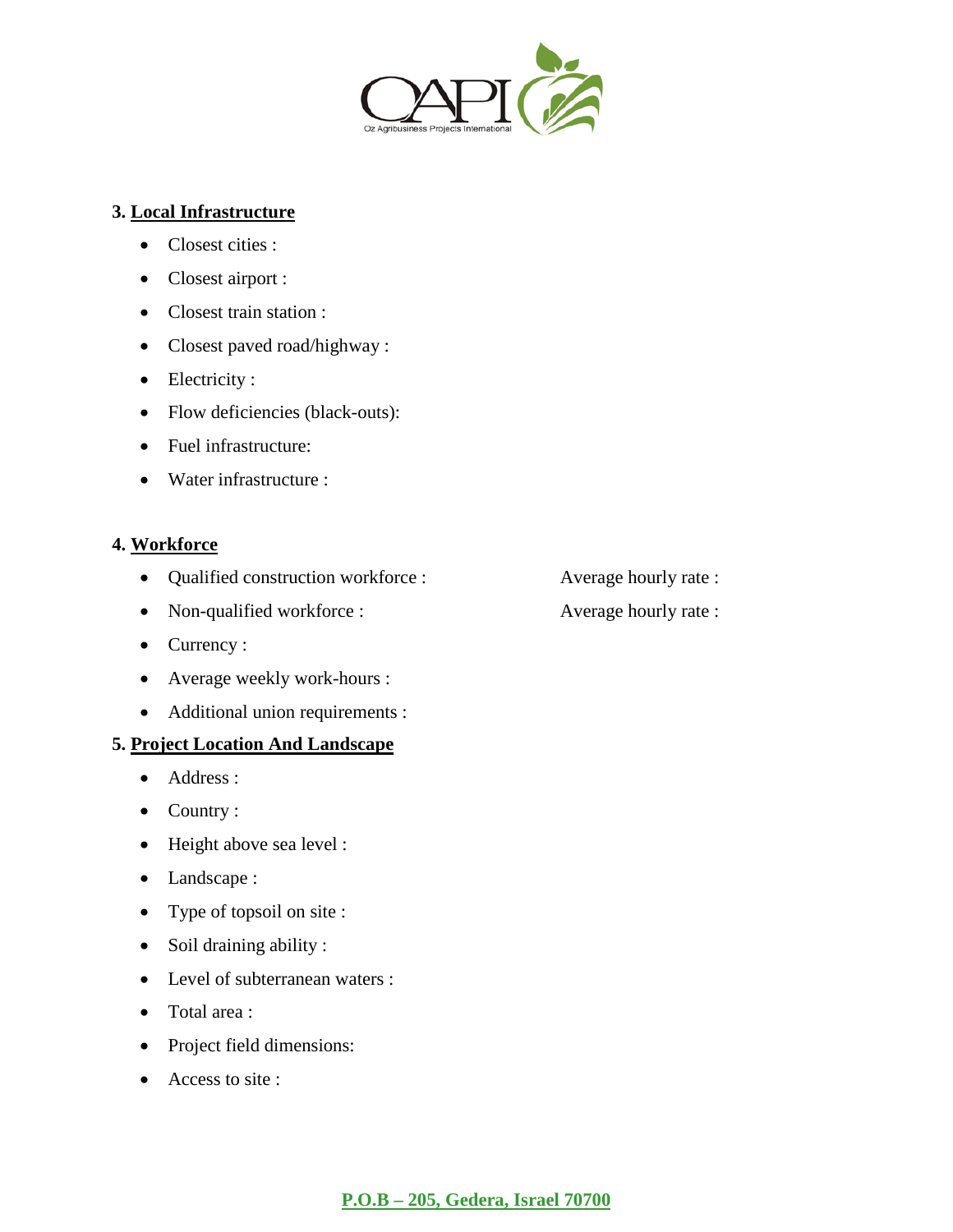

#### **3. Local Infrastructure**

- Closest cities :
- Closest airport :
- Closest train station :
- Closest paved road/highway :
- Electricity :
- Flow deficiencies (black-outs):
- Fuel infrastructure:
- Water infrastructure :

## **4. Workforce**

- Qualified construction workforce : Average hourly rate :
- Non-qualified workforce : Average hourly rate :
- Currency :
- Average weekly work-hours :
- Additional union requirements :

#### **5. Project Location And Landscape**

- Address :
- Country :
- Height above sea level :
- Landscape :
- Type of topsoil on site :
- Soil draining ability :
- Level of subterranean waters :
- Total area :
- Project field dimensions:
- Access to site :
- 
-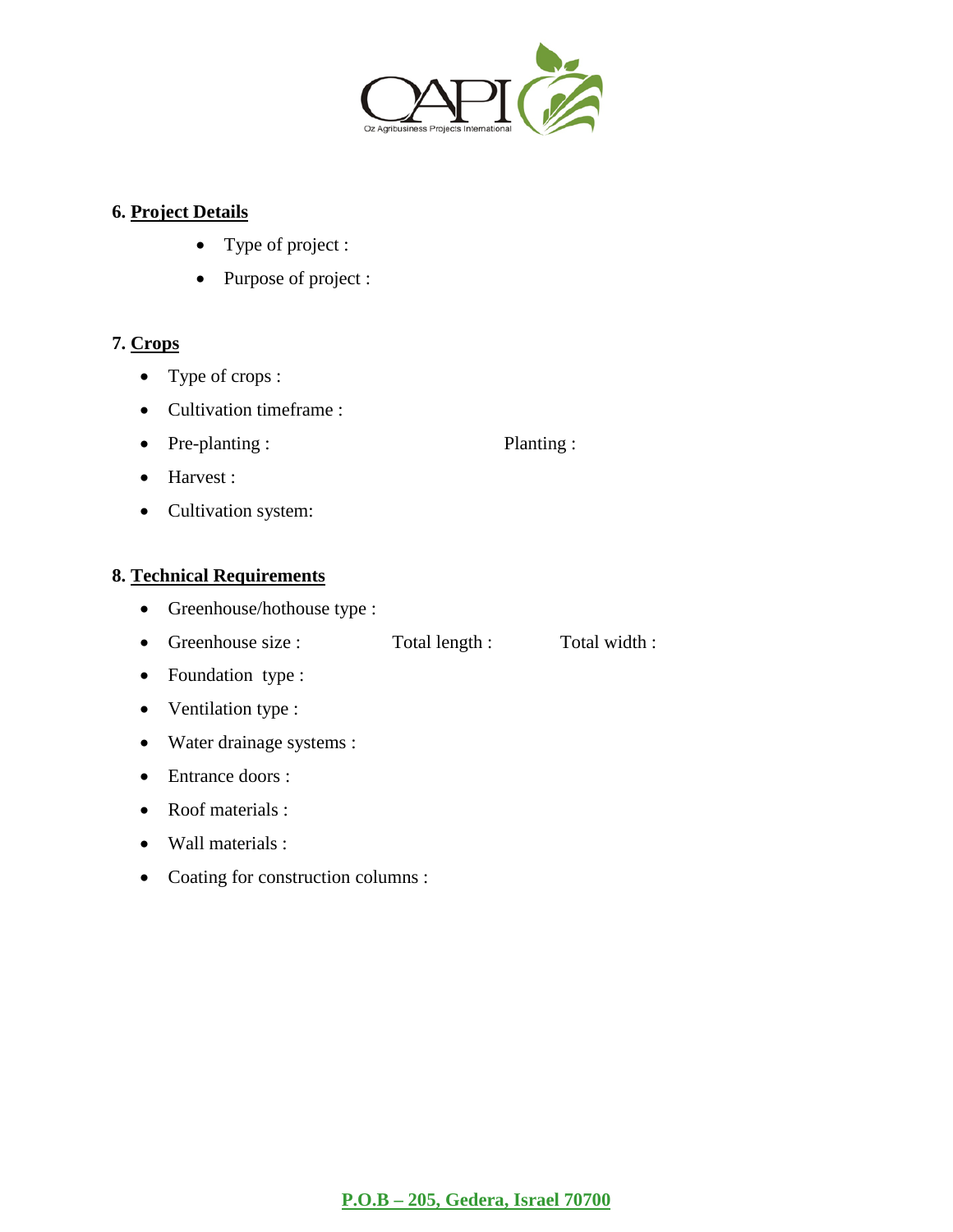

## **6. Project Details**

- Type of project :
- Purpose of project :

## **7. Crops**

- Type of crops :
- Cultivation timeframe :
- Pre-planting : Planting :

- Harvest :
- Cultivation system:

## **8. Technical Requirements**

- Greenhouse/hothouse type :
- Greenhouse size : Total length : Total width :
- Foundation type :
- Ventilation type :
- Water drainage systems :
- Entrance doors :
- Roof materials :
- Wall materials :
- Coating for construction columns :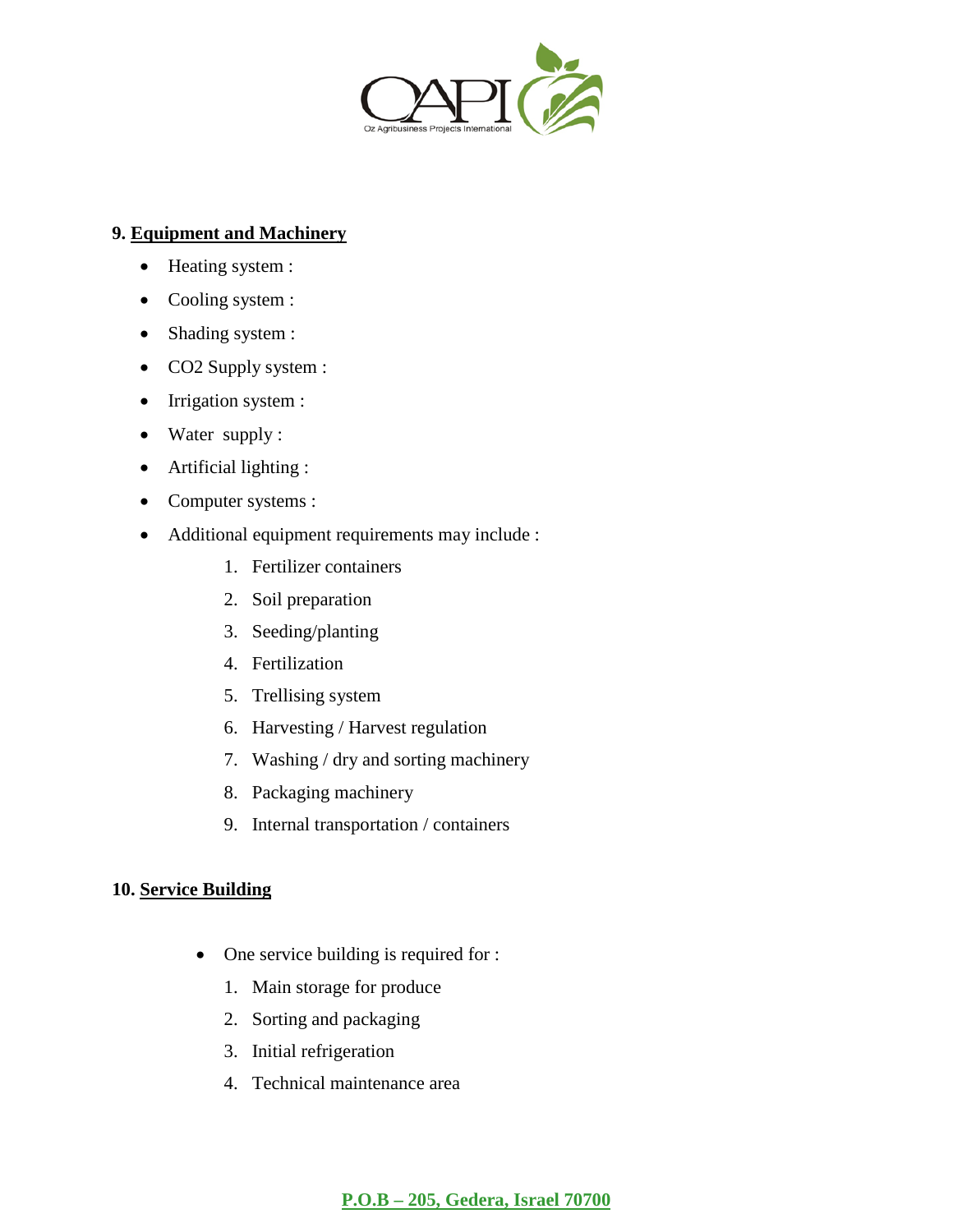

## **9. Equipment and Machinery**

- Heating system :
- Cooling system :
- Shading system :
- CO2 Supply system :
- Irrigation system :
- Water supply :
- Artificial lighting :
- Computer systems :
- Additional equipment requirements may include :
	- 1. Fertilizer containers
	- 2. Soil preparation
	- 3. Seeding/planting
	- 4. Fertilization
	- 5. Trellising system
	- 6. Harvesting / Harvest regulation
	- 7. Washing / dry and sorting machinery
	- 8. Packaging machinery
	- 9. Internal transportation / containers

## **10. Service Building**

- One service building is required for :
	- 1. Main storage for produce
	- 2. Sorting and packaging
	- 3. Initial refrigeration
	- 4. Technical maintenance area